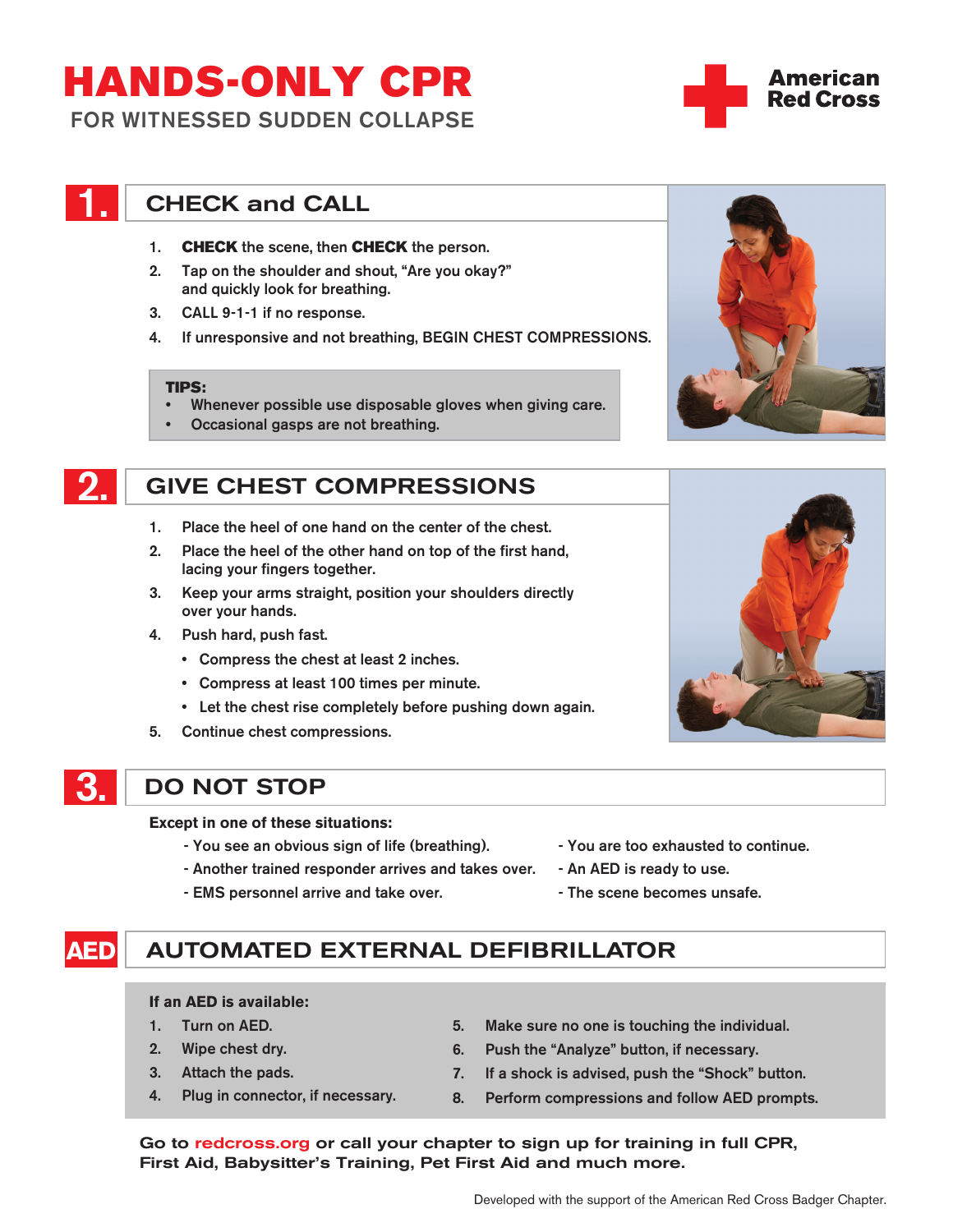# HANDS-ONLY CPR

FOR WITNESSED SUDDEN COLLAPSE

# **CHECK and CALL**

- 1. **CHECK** the scene, then **CHECK** the person.
- 2. Tap on the shoulder and shout, "Are you okay?" and quickly look for breathing.
- 3. CALL 9-1-1 if no response.
- 4. If unresponsive and not breathing, BEGIN CHEST COMPRESSIONS.

#### TIPS:

- Whenever possible use disposable gloves when giving care.
- Occasional gasps are not breathing.

# 2. GIVE CHEST COMPRESSIONS

- 1. Place the heel of one hand on the center of the chest.
- 2. Place the heel of the other hand on top of the first hand, lacing your fingers together.
- 3. Keep your arms straight, position your shoulders directly over your hands.
- 4. Push hard, push fast.
	- Compress the chest at least 2 inches.
	- Compress at least 100 times per minute.
	- Let the chest rise completely before pushing down again.
- 5. Continue chest compressions.

# 3. DO NOT STOP

**Except in one of these situations:**

- You see an obvious sign of life (breathing).
- Another trained responder arrives and takes over.
- EMS personnel arrive and take over.
- You are too exhausted to continue.
- An AED is ready to use.
- The scene becomes unsafe.

## **AED** AUTOMATED EXTERNAL DEFIBRILLATOR

### **If an AED is available:**

- 1. Turn on AED.
- 2. Wipe chest dry.
- 3. Attach the pads.
- 4. Plug in connector, if necessary.
- 5. Make sure no one is touching the individual.
- 6. Push the "Analyze" button, if necessary.
- 7. If a shock is advised, push the "Shock" button.
- 8. Perform compressions and follow AED prompts.

Go to redcross.org or call your chapter to sign up for training in full CPR, First Aid, Babysitter's Training, Pet First Aid and much more.